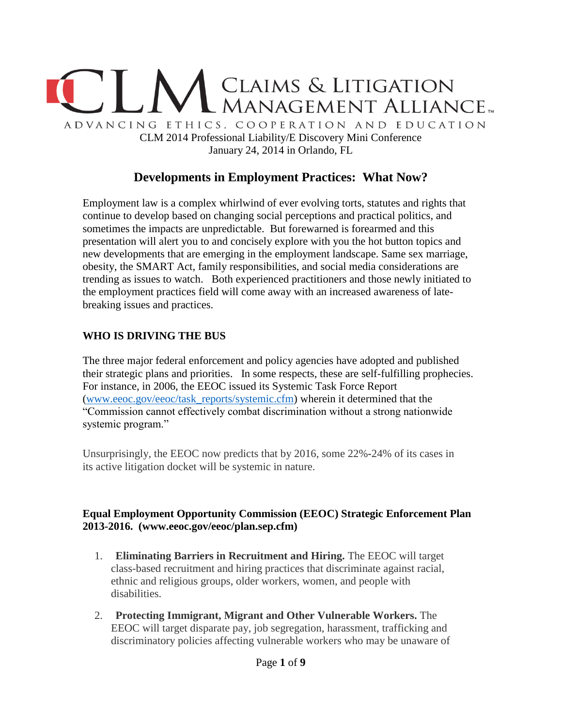

# **Developments in Employment Practices: What Now?**

Employment law is a complex whirlwind of ever evolving torts, statutes and rights that continue to develop based on changing social perceptions and practical politics, and sometimes the impacts are unpredictable. But forewarned is forearmed and this presentation will alert you to and concisely explore with you the hot button topics and new developments that are emerging in the employment landscape. Same sex marriage, obesity, the SMART Act, family responsibilities, and social media considerations are trending as issues to watch. Both experienced practitioners and those newly initiated to the employment practices field will come away with an increased awareness of latebreaking issues and practices.

### **WHO IS DRIVING THE BUS**

The three major federal enforcement and policy agencies have adopted and published their strategic plans and priorities. In some respects, these are self-fulfilling prophecies. For instance, in 2006, the EEOC issued its Systemic Task Force Report [\(www.eeoc.gov/eeoc/task\\_reports/systemic.cfm\)](http://www.eeoc.gov/eeoc/task_reports/systemic.cfm) wherein it determined that the "Commission cannot effectively combat discrimination without a strong nationwide systemic program."

Unsurprisingly, the EEOC now predicts that by 2016, some 22%**-**24% of its cases in its active litigation docket will be systemic in nature.

### **Equal Employment Opportunity Commission (EEOC) Strategic Enforcement Plan 2013-2016. (www.eeoc.gov/eeoc/plan.sep.cfm)**

- 1. **Eliminating Barriers in Recruitment and Hiring.** The EEOC will target class-based recruitment and hiring practices that discriminate against racial, ethnic and religious groups, older workers, women, and people with disabilities.
- 2. **Protecting Immigrant, Migrant and Other Vulnerable Workers.** The EEOC will target disparate pay, job segregation, harassment, trafficking and discriminatory policies affecting vulnerable workers who may be unaware of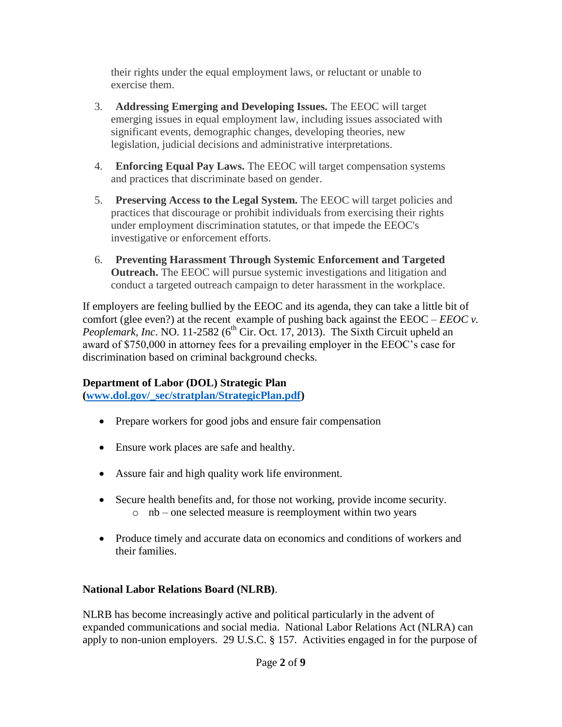their rights under the equal employment laws, or reluctant or unable to exercise them.

- 3. **Addressing Emerging and Developing Issues.** The EEOC will target emerging issues in equal employment law, including issues associated with significant events, demographic changes, developing theories, new legislation, judicial decisions and administrative interpretations.
- 4. **Enforcing Equal Pay Laws.** The EEOC will target compensation systems and practices that discriminate based on gender.
- 5. **Preserving Access to the Legal System.** The EEOC will target policies and practices that discourage or prohibit individuals from exercising their rights under employment discrimination statutes, or that impede the EEOC's investigative or enforcement efforts.
- 6. **Preventing Harassment Through Systemic Enforcement and Targeted Outreach.** The EEOC will pursue systemic investigations and litigation and conduct a targeted outreach campaign to deter harassment in the workplace.

If employers are feeling bullied by the EEOC and its agenda, they can take a little bit of comfort (glee even?) at the recent example of pushing back against the EEOC – *EEOC v. Peoplemark, Inc.* NO. 11-2582 ( $6<sup>th</sup>$  Cir. Oct. 17, 2013). The Sixth Circuit upheld an award of \$750,000 in attorney fees for a prevailing employer in the EEOC's case for discrimination based on criminal background checks.

# **Department of Labor (DOL) Strategic Plan**

**[\(www.dol.gov/\\_sec/stratplan/StrategicPlan.pdf\)](http://www.dol.gov/_sec/stratplan/StrategicPlan.pdf)**

- Prepare workers for good jobs and ensure fair compensation
- Ensure work places are safe and healthy.
- Assure fair and high quality work life environment.
- Secure health benefits and, for those not working, provide income security. o nb – one selected measure is reemployment within two years
- Produce timely and accurate data on economics and conditions of workers and their families.

# **National Labor Relations Board (NLRB)**.

NLRB has become increasingly active and political particularly in the advent of expanded communications and social media. National Labor Relations Act (NLRA) can apply to non-union employers. 29 U.S.C. § 157. Activities engaged in for the purpose of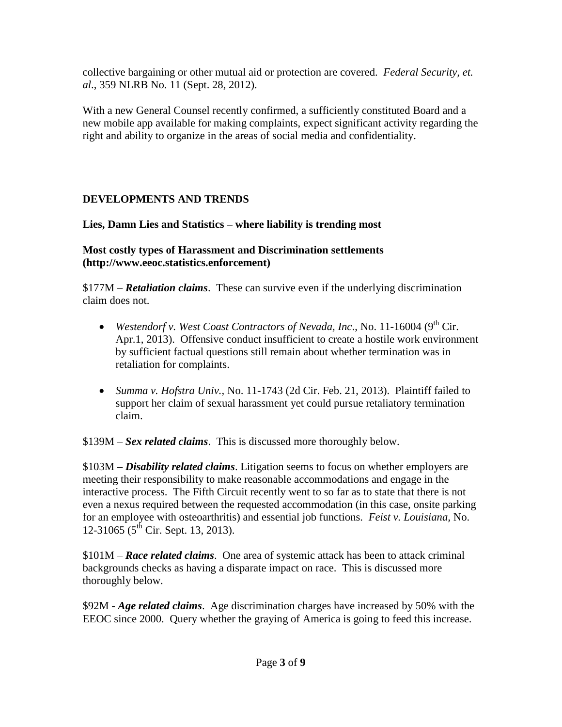collective bargaining or other mutual aid or protection are covered. *Federal Security, et. al*., 359 NLRB No. 11 (Sept. 28, 2012).

With a new General Counsel recently confirmed, a sufficiently constituted Board and a new mobile app available for making complaints, expect significant activity regarding the right and ability to organize in the areas of social media and confidentiality.

# **DEVELOPMENTS AND TRENDS**

# **Lies, Damn Lies and Statistics – where liability is trending most**

# **Most costly types of Harassment and Discrimination settlements (http://www.eeoc.statistics.enforcement)**

\$177M – *Retaliation claims*. These can survive even if the underlying discrimination claim does not.

- *Westendorf v. West Coast Contractors of Nevada, Inc.*, No. 11-16004 (9<sup>th</sup> Cir. Apr.1, 2013). Offensive conduct insufficient to create a hostile work environment by sufficient factual questions still remain about whether termination was in retaliation for complaints.
- *Summa v. Hofstra Univ.,* No. 11-1743 (2d Cir. Feb. 21, 2013). Plaintiff failed to support her claim of sexual harassment yet could pursue retaliatory termination claim.

\$139M – *Sex related claims*. This is discussed more thoroughly below.

\$103M *– Disability related claims*. Litigation seems to focus on whether employers are meeting their responsibility to make reasonable accommodations and engage in the interactive process. The Fifth Circuit recently went to so far as to state that there is not even a nexus required between the requested accommodation (in this case, onsite parking for an employee with osteoarthritis) and essential job functions. *Feist v. Louisiana,* No. 12-31065 ( $5^{\text{th}}$  Cir. Sept. 13, 2013).

\$101M – *Race related claims*. One area of systemic attack has been to attack criminal backgrounds checks as having a disparate impact on race. This is discussed more thoroughly below.

\$92M - *Age related claims*.Age discrimination charges have increased by 50% with the EEOC since 2000. Query whether the graying of America is going to feed this increase.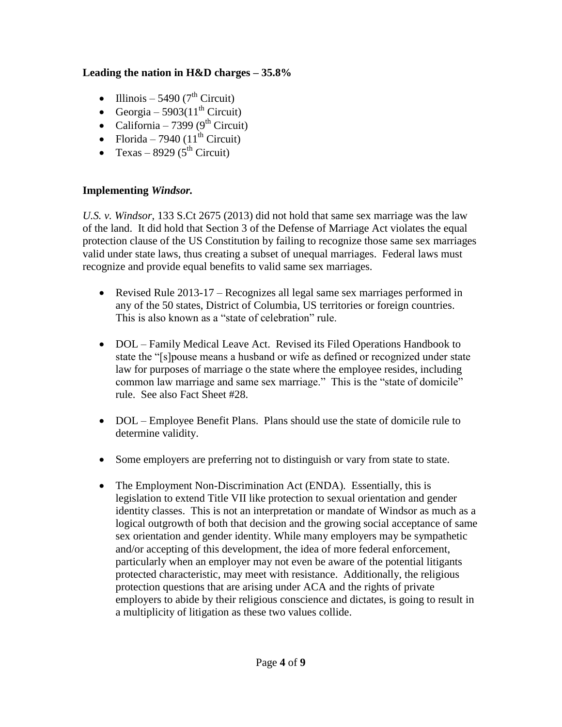## **Leading the nation in H&D charges – 35.8%**

- Illinois 5490 (7<sup>th</sup> Circuit)
- Georgia 5903(11<sup>th</sup> Circuit)
- California 7399 (9<sup>th</sup> Circuit)
- Florida 7940 ( $11<sup>th</sup>$  Circuit)
- Texas 8929 ( $5^{th}$  Circuit)

### **Implementing** *Windsor.*

*U.S. v. Windsor*, 133 S.Ct 2675 (2013) did not hold that same sex marriage was the law of the land. It did hold that Section 3 of the Defense of Marriage Act violates the equal protection clause of the US Constitution by failing to recognize those same sex marriages valid under state laws, thus creating a subset of unequal marriages. Federal laws must recognize and provide equal benefits to valid same sex marriages.

- Revised Rule 2013-17 Recognizes all legal same sex marriages performed in any of the 50 states, District of Columbia, US territories or foreign countries. This is also known as a "state of celebration" rule.
- DOL Family Medical Leave Act. Revised its Filed Operations Handbook to state the "[s]pouse means a husband or wife as defined or recognized under state law for purposes of marriage o the state where the employee resides, including common law marriage and same sex marriage." This is the "state of domicile" rule. See also Fact Sheet #28.
- DOL Employee Benefit Plans. Plans should use the state of domicile rule to determine validity.
- Some employers are preferring not to distinguish or vary from state to state.
- The Employment Non-Discrimination Act (ENDA). Essentially, this is legislation to extend Title VII like protection to sexual orientation and gender identity classes. This is not an interpretation or mandate of Windsor as much as a logical outgrowth of both that decision and the growing social acceptance of same sex orientation and gender identity. While many employers may be sympathetic and/or accepting of this development, the idea of more federal enforcement, particularly when an employer may not even be aware of the potential litigants protected characteristic, may meet with resistance. Additionally, the religious protection questions that are arising under ACA and the rights of private employers to abide by their religious conscience and dictates, is going to result in a multiplicity of litigation as these two values collide.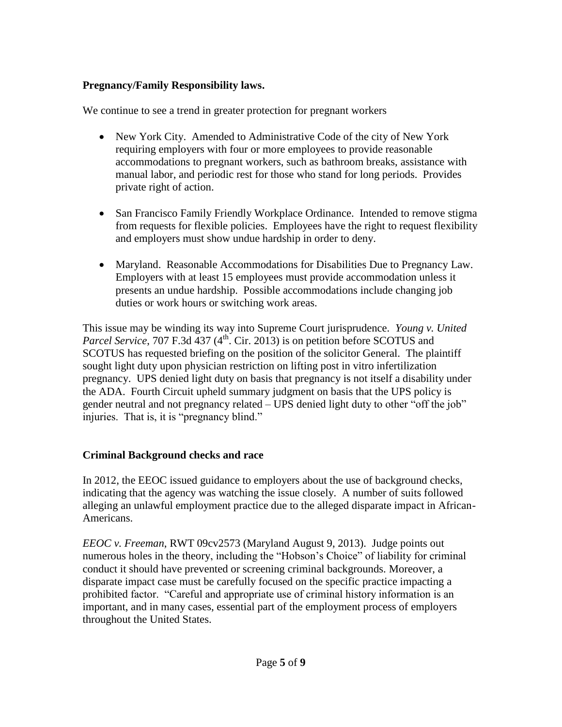## **Pregnancy/Family Responsibility laws.**

We continue to see a trend in greater protection for pregnant workers

- New York City. Amended to Administrative Code of the city of New York requiring employers with four or more employees to provide reasonable accommodations to pregnant workers, such as bathroom breaks, assistance with manual labor, and periodic rest for those who stand for long periods. Provides private right of action.
- San Francisco Family Friendly Workplace Ordinance. Intended to remove stigma from requests for flexible policies. Employees have the right to request flexibility and employers must show undue hardship in order to deny.
- Maryland. Reasonable Accommodations for Disabilities Due to Pregnancy Law. Employers with at least 15 employees must provide accommodation unless it presents an undue hardship. Possible accommodations include changing job duties or work hours or switching work areas.

This issue may be winding its way into Supreme Court jurisprudence. *Young v. United Parcel Service*, 707 F.3d 437  $(4<sup>th</sup>$ . Cir. 2013) is on petition before SCOTUS and SCOTUS has requested briefing on the position of the solicitor General. The plaintiff sought light duty upon physician restriction on lifting post in vitro infertilization pregnancy. UPS denied light duty on basis that pregnancy is not itself a disability under the ADA. Fourth Circuit upheld summary judgment on basis that the UPS policy is gender neutral and not pregnancy related – UPS denied light duty to other "off the job" injuries. That is, it is "pregnancy blind."

### **Criminal Background checks and race**

In 2012, the EEOC issued guidance to employers about the use of background checks, indicating that the agency was watching the issue closely. A number of suits followed alleging an unlawful employment practice due to the alleged disparate impact in African-Americans.

*EEOC v. Freeman*, RWT 09cv2573 (Maryland August 9, 2013). Judge points out numerous holes in the theory, including the "Hobson's Choice" of liability for criminal conduct it should have prevented or screening criminal backgrounds. Moreover, a disparate impact case must be carefully focused on the specific practice impacting a prohibited factor. "Careful and appropriate use of criminal history information is an important, and in many cases, essential part of the employment process of employers throughout the United States.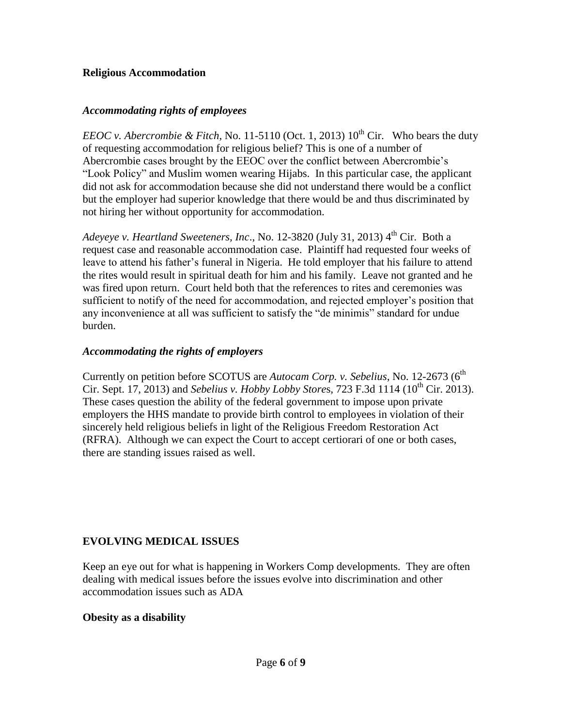#### **Religious Accommodation**

#### *Accommodating rights of employees*

*EEOC v. Abercrombie & Fitch*, No. 11-5110 (Oct. 1, 2013)  $10^{th}$  Cir. Who bears the duty of requesting accommodation for religious belief? This is one of a number of Abercrombie cases brought by the EEOC over the conflict between Abercrombie's "Look Policy" and Muslim women wearing Hijabs. In this particular case, the applicant did not ask for accommodation because she did not understand there would be a conflict but the employer had superior knowledge that there would be and thus discriminated by not hiring her without opportunity for accommodation.

*Adeyeye v. Heartland Sweeteners, Inc., No.* 12-3820 (July 31, 2013) 4<sup>th</sup> Cir. Both a request case and reasonable accommodation case. Plaintiff had requested four weeks of leave to attend his father's funeral in Nigeria. He told employer that his failure to attend the rites would result in spiritual death for him and his family. Leave not granted and he was fired upon return. Court held both that the references to rites and ceremonies was sufficient to notify of the need for accommodation, and rejected employer's position that any inconvenience at all was sufficient to satisfy the "de minimis" standard for undue burden.

### *Accommodating the rights of employers*

Currently on petition before SCOTUS are *Autocam Corp. v. Sebelius*, No. 12-2673 (6<sup>th</sup>) Cir. Sept. 17, 2013) and *Sebelius v. Hobby Lobby Stores*, 723 F.3d 1114 (10<sup>th</sup> Cir. 2013). These cases question the ability of the federal government to impose upon private employers the HHS mandate to provide birth control to employees in violation of their sincerely held religious beliefs in light of the Religious Freedom Restoration Act (RFRA). Although we can expect the Court to accept certiorari of one or both cases, there are standing issues raised as well.

### **EVOLVING MEDICAL ISSUES**

Keep an eye out for what is happening in Workers Comp developments. They are often dealing with medical issues before the issues evolve into discrimination and other accommodation issues such as ADA

### **Obesity as a disability**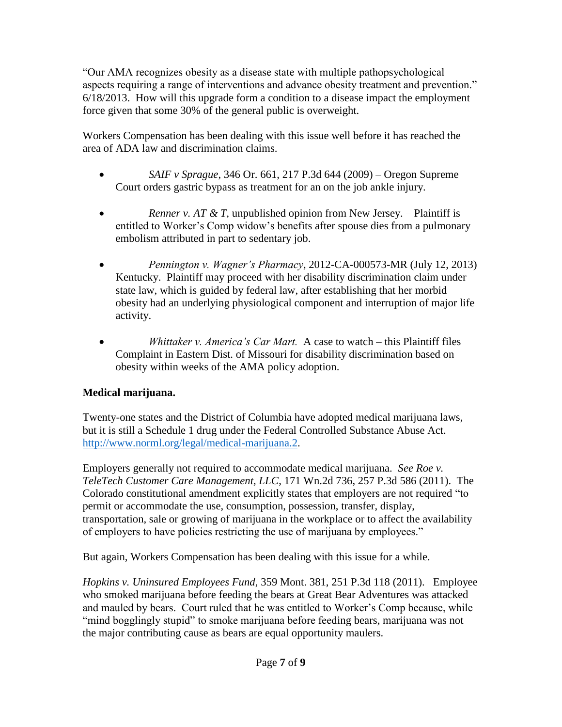"Our AMA recognizes obesity as a disease state with multiple pathopsychological aspects requiring a range of interventions and advance obesity treatment and prevention." 6/18/2013. How will this upgrade form a condition to a disease impact the employment force given that some 30% of the general public is overweight.

Workers Compensation has been dealing with this issue well before it has reached the area of ADA law and discrimination claims.

- *SAIF v Sprague*, 346 Or. 661, 217 P.3d 644 (2009) Oregon Supreme Court orders gastric bypass as treatment for an on the job ankle injury.
- **•** *Renner v. AT & T*, unpublished opinion from New Jersey. Plaintiff is entitled to Worker's Comp widow's benefits after spouse dies from a pulmonary embolism attributed in part to sedentary job.
- *Pennington v. Wagner's Pharmacy*, 2012-CA-000573-MR (July 12, 2013) Kentucky. Plaintiff may proceed with her disability discrimination claim under state law, which is guided by federal law, after establishing that her morbid obesity had an underlying physiological component and interruption of major life activity.
- *Whittaker v. America's Car Mart.* A case to watch this Plaintiff files Complaint in Eastern Dist. of Missouri for disability discrimination based on obesity within weeks of the AMA policy adoption.

# **Medical marijuana.**

Twenty-one states and the District of Columbia have adopted medical marijuana laws, but it is still a Schedule 1 drug under the Federal Controlled Substance Abuse Act. [http://www.norml.org/legal/medical-marijuana.2.](http://www.norml.org/legal/medical-marijuana.2)

Employers generally not required to accommodate medical marijuana. *See Roe v. TeleTech Customer Care Management, LLC*, 171 Wn.2d 736, 257 P.3d 586 (2011). The Colorado constitutional amendment explicitly states that employers are not required "to permit or accommodate the use, consumption, possession, transfer, display, transportation, sale or growing of marijuana in the workplace or to affect the availability of employers to have policies restricting the use of marijuana by employees."

But again, Workers Compensation has been dealing with this issue for a while.

*Hopkins v. Uninsured Employees Fund*, 359 Mont. 381, 251 P.3d 118 (2011). Employee who smoked marijuana before feeding the bears at Great Bear Adventures was attacked and mauled by bears. Court ruled that he was entitled to Worker's Comp because, while "mind bogglingly stupid" to smoke marijuana before feeding bears, marijuana was not the major contributing cause as bears are equal opportunity maulers.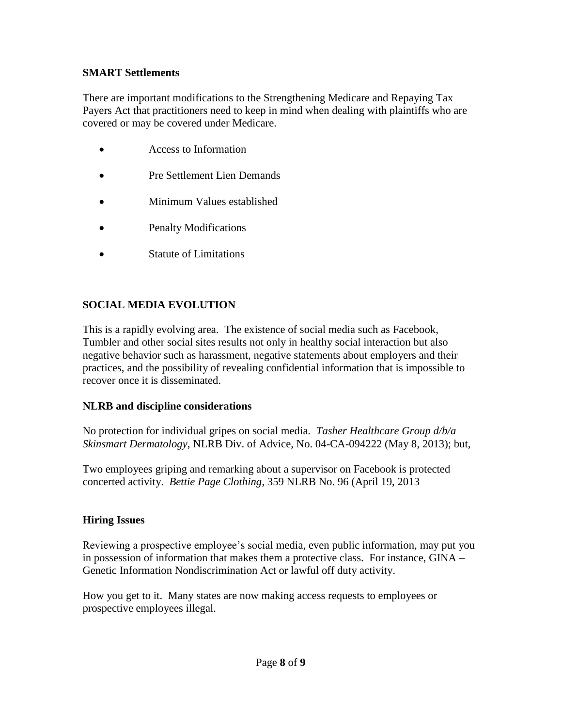### **SMART Settlements**

There are important modifications to the Strengthening Medicare and Repaying Tax Payers Act that practitioners need to keep in mind when dealing with plaintiffs who are covered or may be covered under Medicare.

- Access to Information
- Pre Settlement Lien Demands
- Minimum Values established
- Penalty Modifications
- Statute of Limitations

## **SOCIAL MEDIA EVOLUTION**

This is a rapidly evolving area. The existence of social media such as Facebook, Tumbler and other social sites results not only in healthy social interaction but also negative behavior such as harassment, negative statements about employers and their practices, and the possibility of revealing confidential information that is impossible to recover once it is disseminated.

#### **NLRB and discipline considerations**

No protection for individual gripes on social media*. Tasher Healthcare Group d/b/a Skinsmart Dermatology*, NLRB Div. of Advice, No. 04-CA-094222 (May 8, 2013); but,

Two employees griping and remarking about a supervisor on Facebook is protected concerted activity. *Bettie Page Clothing*, 359 NLRB No. 96 (April 19, 2013

#### **Hiring Issues**

Reviewing a prospective employee's social media, even public information, may put you in possession of information that makes them a protective class. For instance, GINA – Genetic Information Nondiscrimination Act or lawful off duty activity.

How you get to it. Many states are now making access requests to employees or prospective employees illegal.